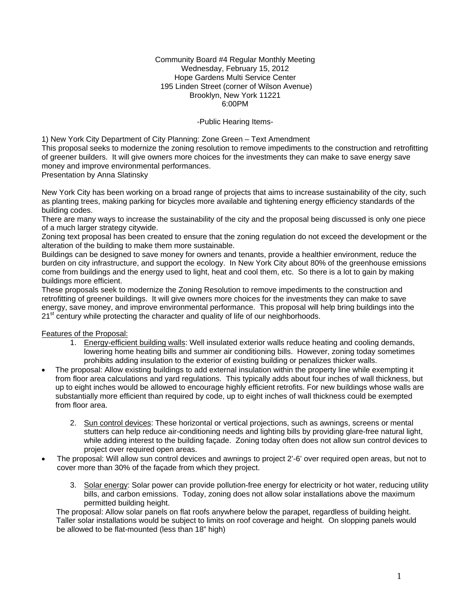Community Board #4 Regular Monthly Meeting Wednesday, February 15, 2012 Hope Gardens Multi Service Center 195 Linden Street (corner of Wilson Avenue) Brooklyn, New York 11221 6:00PM

# -Public Hearing Items-

1) New York City Department of City Planning: Zone Green – Text Amendment

This proposal seeks to modernize the zoning resolution to remove impediments to the construction and retrofitting of greener builders. It will give owners more choices for the investments they can make to save energy save money and improve environmental performances.

Presentation by Anna Slatinsky

New York City has been working on a broad range of projects that aims to increase sustainability of the city, such as planting trees, making parking for bicycles more available and tightening energy efficiency standards of the building codes.

There are many ways to increase the sustainability of the city and the proposal being discussed is only one piece of a much larger strategy citywide.

Zoning text proposal has been created to ensure that the zoning regulation do not exceed the development or the alteration of the building to make them more sustainable.

Buildings can be designed to save money for owners and tenants, provide a healthier environment, reduce the burden on city infrastructure, and support the ecology. In New York City about 80% of the greenhouse emissions come from buildings and the energy used to light, heat and cool them, etc. So there is a lot to gain by making buildings more efficient.

These proposals seek to modernize the Zoning Resolution to remove impediments to the construction and retrofitting of greener buildings. It will give owners more choices for the investments they can make to save energy, save money, and improve environmental performance. This proposal will help bring buildings into the 21<sup>st</sup> century while protecting the character and quality of life of our neighborhoods.

#### Features of the Proposal:

- 1. Energy-efficient building walls: Well insulated exterior walls reduce heating and cooling demands, lowering home heating bills and summer air conditioning bills. However, zoning today sometimes prohibits adding insulation to the exterior of existing building or penalizes thicker walls.
- The proposal: Allow existing buildings to add external insulation within the property line while exempting it from floor area calculations and yard regulations. This typically adds about four inches of wall thickness, but up to eight inches would be allowed to encourage highly efficient retrofits. For new buildings whose walls are substantially more efficient than required by code, up to eight inches of wall thickness could be exempted from floor area.
	- 2. Sun control devices: These horizontal or vertical projections, such as awnings, screens or mental stutters can help reduce air-conditioning needs and lighting bills by providing glare-free natural light, while adding interest to the building façade. Zoning today often does not allow sun control devices to project over required open areas.
- The proposal: Will allow sun control devices and awnings to project 2'-6' over required open areas, but not to cover more than 30% of the façade from which they project.
	- 3. Solar energy: Solar power can provide pollution-free energy for electricity or hot water, reducing utility bills, and carbon emissions. Today, zoning does not allow solar installations above the maximum permitted building height.

 The proposal: Allow solar panels on flat roofs anywhere below the parapet, regardless of building height. Taller solar installations would be subject to limits on roof coverage and height. On slopping panels would be allowed to be flat-mounted (less than 18" high)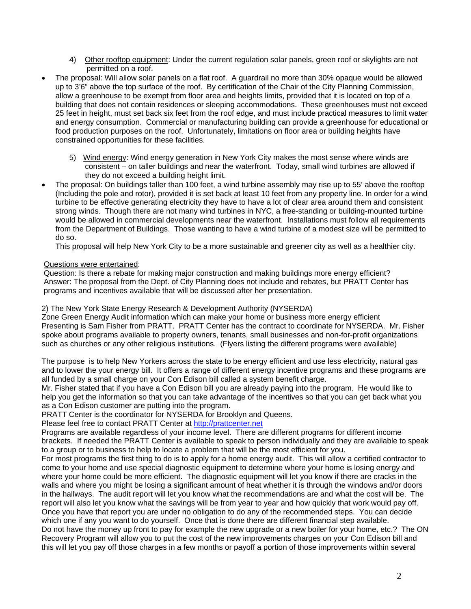- 4) Other rooftop equipment: Under the current regulation solar panels, green roof or skylights are not permitted on a roof.
- The proposal: Will allow solar panels on a flat roof. A guardrail no more than 30% opaque would be allowed up to 3'6" above the top surface of the roof. By certification of the Chair of the City Planning Commission, allow a greenhouse to be exempt from floor area and heights limits, provided that it is located on top of a building that does not contain residences or sleeping accommodations. These greenhouses must not exceed 25 feet in height, must set back six feet from the roof edge, and must include practical measures to limit water and energy consumption. Commercial or manufacturing building can provide a greenhouse for educational or food production purposes on the roof. Unfortunately, limitations on floor area or building heights have constrained opportunities for these facilities.
	- 5) Wind energy: Wind energy generation in New York City makes the most sense where winds are consistent – on taller buildings and near the waterfront. Today, small wind turbines are allowed if they do not exceed a building height limit.
- The proposal: On buildings taller than 100 feet, a wind turbine assembly may rise up to 55' above the rooftop (Including the pole and rotor), provided it is set back at least 10 feet from any property line. In order for a wind turbine to be effective generating electricity they have to have a lot of clear area around them and consistent strong winds. Though there are not many wind turbines in NYC, a free-standing or building-mounted turbine would be allowed in commercial developments near the waterfront. Installations must follow all requirements from the Department of Buildings. Those wanting to have a wind turbine of a modest size will be permitted to do so.

This proposal will help New York City to be a more sustainable and greener city as well as a healthier city.

Questions were entertained:

Question: Is there a rebate for making major construction and making buildings more energy efficient? Answer: The proposal from the Dept. of City Planning does not include and rebates, but PRATT Center has programs and incentives available that will be discussed after her presentation.

2) The New York State Energy Research & Development Authority (NYSERDA)

Zone Green Energy Audit information which can make your home or business more energy efficient Presenting is Sam Fisher from PRATT. PRATT Center has the contract to coordinate for NYSERDA. Mr. Fisher spoke about programs available to property owners, tenants, small businesses and non-for-profit organizations such as churches or any other religious institutions. (Flyers listing the different programs were available)

The purpose is to help New Yorkers across the state to be energy efficient and use less electricity, natural gas and to lower the your energy bill. It offers a range of different energy incentive programs and these programs are all funded by a small charge on your Con Edison bill called a system benefit charge.

Mr. Fisher stated that if you have a Con Edison bill you are already paying into the program. He would like to help you get the information so that you can take advantage of the incentives so that you can get back what you as a Con Edison customer are putting into the program.

PRATT Center is the coordinator for NYSERDA for Brooklyn and Queens.

Please feel free to contact PRATT Center at [http://prattcenter.net](http://prattcenter.net/) 

Programs are available regardless of your income level. There are different programs for different income brackets. If needed the PRATT Center is available to speak to person individually and they are available to speak to a group or to business to help to locate a problem that will be the most efficient for you.

For most programs the first thing to do is to apply for a home energy audit. This will allow a certified contractor to come to your home and use special diagnostic equipment to determine where your home is losing energy and where your home could be more efficient. The diagnostic equipment will let you know if there are cracks in the walls and where you might be losing a significant amount of heat whether it is through the windows and/or doors in the hallways. The audit report will let you know what the recommendations are and what the cost will be. The report will also let you know what the savings will be from year to year and how quickly that work would pay off. Once you have that report you are under no obligation to do any of the recommended steps. You can decide which one if any you want to do yourself. Once that is done there are different financial step available. Do not have the money up front to pay for example the new upgrade or a new boiler for your home, etc.? The ON Recovery Program will allow you to put the cost of the new improvements charges on your Con Edison bill and this will let you pay off those charges in a few months or payoff a portion of those improvements within several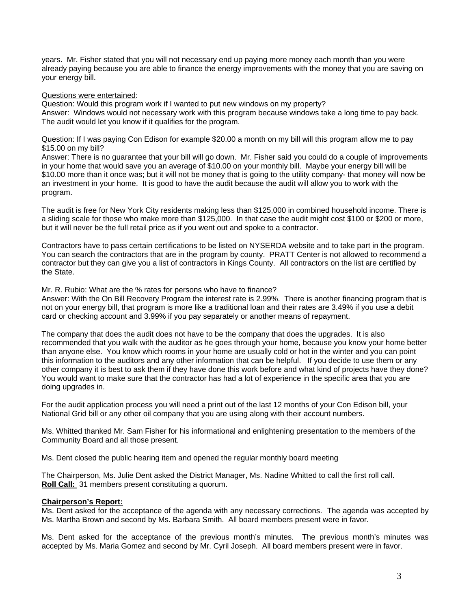years. Mr. Fisher stated that you will not necessary end up paying more money each month than you were already paying because you are able to finance the energy improvements with the money that you are saving on your energy bill.

# Questions were entertained:

Question: Would this program work if I wanted to put new windows on my property? Answer: Windows would not necessary work with this program because windows take a long time to pay back. The audit would let you know if it qualifies for the program.

Question: If I was paying Con Edison for example \$20.00 a month on my bill will this program allow me to pay \$15.00 on my bill?

Answer: There is no guarantee that your bill will go down. Mr. Fisher said you could do a couple of improvements in your home that would save you an average of \$10.00 on your monthly bill. Maybe your energy bill will be \$10.00 more than it once was; but it will not be money that is going to the utility company- that money will now be an investment in your home. It is good to have the audit because the audit will allow you to work with the program.

The audit is free for New York City residents making less than \$125,000 in combined household income. There is a sliding scale for those who make more than \$125,000. In that case the audit might cost \$100 or \$200 or more, but it will never be the full retail price as if you went out and spoke to a contractor.

Contractors have to pass certain certifications to be listed on NYSERDA website and to take part in the program. You can search the contractors that are in the program by county. PRATT Center is not allowed to recommend a contractor but they can give you a list of contractors in Kings County. All contractors on the list are certified by the State.

#### Mr. R. Rubio: What are the % rates for persons who have to finance?

Answer: With the On Bill Recovery Program the interest rate is 2.99%. There is another financing program that is not on your energy bill, that program is more like a traditional loan and their rates are 3.49% if you use a debit card or checking account and 3.99% if you pay separately or another means of repayment.

The company that does the audit does not have to be the company that does the upgrades. It is also recommended that you walk with the auditor as he goes through your home, because you know your home better than anyone else. You know which rooms in your home are usually cold or hot in the winter and you can point this information to the auditors and any other information that can be helpful. If you decide to use them or any other company it is best to ask them if they have done this work before and what kind of projects have they done? You would want to make sure that the contractor has had a lot of experience in the specific area that you are doing upgrades in.

For the audit application process you will need a print out of the last 12 months of your Con Edison bill, your National Grid bill or any other oil company that you are using along with their account numbers.

Ms. Whitted thanked Mr. Sam Fisher for his informational and enlightening presentation to the members of the Community Board and all those present.

Ms. Dent closed the public hearing item and opened the regular monthly board meeting

The Chairperson, Ms. Julie Dent asked the District Manager, Ms. Nadine Whitted to call the first roll call. **Roll Call:** 31 members present constituting a quorum.

#### **Chairperson's Report:**

Ms. Dent asked for the acceptance of the agenda with any necessary corrections. The agenda was accepted by Ms. Martha Brown and second by Ms. Barbara Smith. All board members present were in favor.

Ms. Dent asked for the acceptance of the previous month's minutes. The previous month's minutes was accepted by Ms. Maria Gomez and second by Mr. Cyril Joseph. All board members present were in favor.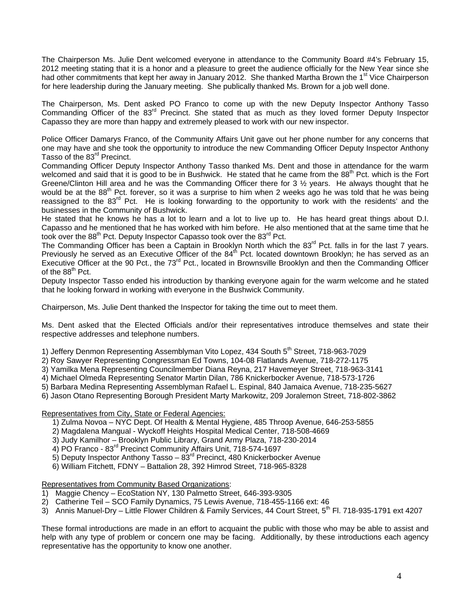The Chairperson Ms. Julie Dent welcomed everyone in attendance to the Community Board #4's February 15, 2012 meeting stating that it is a honor and a pleasure to greet the audience officially for the New Year since she had other commitments that kept her away in January 2012. She thanked Martha Brown the 1<sup>st</sup> Vice Chairperson for here leadership during the January meeting. She publically thanked Ms. Brown for a job well done.

The Chairperson, Ms. Dent asked PO Franco to come up with the new Deputy Inspector Anthony Tasso Commanding Officer of the 83<sup>rd</sup> Precinct. She stated that as much as they loved former Deputy Inspector Capasso they are more than happy and extremely pleased to work with our new inspector.

Police Officer Damarys Franco, of the Community Affairs Unit gave out her phone number for any concerns that one may have and she took the opportunity to introduce the new Commanding Officer Deputy Inspector Anthony Tasso of the 83<sup>rd</sup> Precinct.

Commanding Officer Deputy Inspector Anthony Tasso thanked Ms. Dent and those in attendance for the warm welcomed and said that it is good to be in Bushwick. He stated that he came from the 88<sup>th</sup> Pct. which is the Fort Greene/Clinton Hill area and he was the Commanding Officer there for  $3\frac{1}{2}$  years. He always thought that he would be at the 88<sup>th</sup> Pct. forever, so it was a surprise to him when 2 weeks ago he was told that he was being reassigned to the 83<sup>rd</sup> Pct. He is looking forwarding to the opportunity to work with the residents' and the businesses in the Community of Bushwick.

He stated that he knows he has a lot to learn and a lot to live up to. He has heard great things about D.I. Capasso and he mentioned that he has worked with him before. He also mentioned that at the same time that he took over the 88<sup>th</sup> Pct. Deputy Inspector Capasso took over the 83<sup>rd</sup> Pct.

The Commanding Officer has been a Captain in Brooklyn North which the 83<sup>rd</sup> Pct. falls in for the last 7 years. Previously he served as an Executive Officer of the 84<sup>th</sup> Pct. located downtown Brooklyn; he has served as an Executive Officer at the 90 Pct., the 73<sup>rd</sup> Pct., located in Brownsville Brooklyn and then the Commanding Officer of the  $88^{\text{th}}$  Pct.

Deputy Inspector Tasso ended his introduction by thanking everyone again for the warm welcome and he stated that he looking forward in working with everyone in the Bushwick Community.

Chairperson, Ms. Julie Dent thanked the Inspector for taking the time out to meet them.

Ms. Dent asked that the Elected Officials and/or their representatives introduce themselves and state their respective addresses and telephone numbers.

- 1) Jeffery Denmon Representing Assemblyman Vito Lopez, 434 South 5<sup>th</sup> Street, 718-963-7029
- 2) Roy Sawyer Representing Congressman Ed Towns, 104-08 Flatlands Avenue, 718-272-1175
- 3) Yamilka Mena Representing Councilmember Diana Reyna, 217 Havemeyer Street, 718-963-3141
- 4) Michael Olmeda Representing Senator Martin Dilan, 786 Knickerbocker Avenue, 718-573-1726
- 5) Barbara Medina Representing Assemblyman Rafael L. Espinal, 840 Jamaica Avenue, 718-235-5627
- 6) Jason Otano Representing Borough President Marty Markowitz, 209 Joralemon Street, 718-802-3862

Representatives from City, State or Federal Agencies:

- 1) Zulma Novoa NYC Dept. Of Health & Mental Hygiene, 485 Throop Avenue, 646-253-5855
- 2) Magdalena Mangual Wyckoff Heights Hospital Medical Center, 718-508-4669
- 3) Judy Kamilhor Brooklyn Public Library, Grand Army Plaza, 718-230-2014
- 4) PO Franco 83rd Precinct Community Affairs Unit, 718-574-1697
- 5) Deputy Inspector Anthony Tasso  $83<sup>rd</sup>$  Precinct, 480 Knickerbocker Avenue
- 6) William Fitchett, FDNY Battalion 28, 392 Himrod Street, 718-965-8328

Representatives from Community Based Organizations:

- 1) Maggie Chency EcoStation NY, 130 Palmetto Street, 646-393-9305
- 2) Catherine Teil SCO Family Dynamics, 75 Lewis Avenue, 718-455-1166 ext: 46
- 3) Annis Manuel-Dry Little Flower Children & Family Services, 44 Court Street, 5<sup>th</sup> Fl. 718-935-1791 ext 4207

These formal introductions are made in an effort to acquaint the public with those who may be able to assist and help with any type of problem or concern one may be facing. Additionally, by these introductions each agency representative has the opportunity to know one another.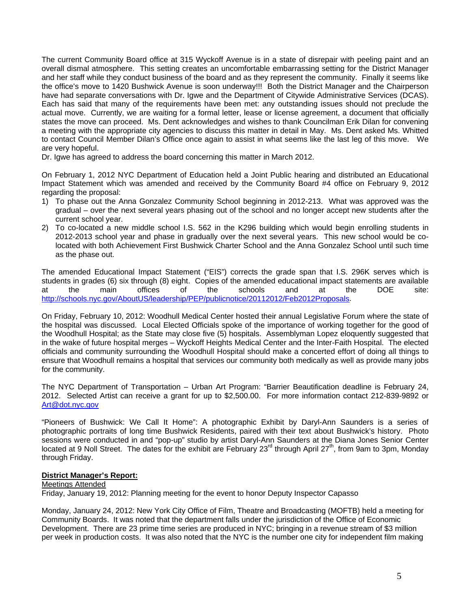The current Community Board office at 315 Wyckoff Avenue is in a state of disrepair with peeling paint and an overall dismal atmosphere. This setting creates an uncomfortable embarrassing setting for the District Manager and her staff while they conduct business of the board and as they represent the community. Finally it seems like the office's move to 1420 Bushwick Avenue is soon underway!!! Both the District Manager and the Chairperson have had separate conversations with Dr. Igwe and the Department of Citywide Administrative Services (DCAS). Each has said that many of the requirements have been met: any outstanding issues should not preclude the actual move. Currently, we are waiting for a formal letter, lease or license agreement, a document that officially states the move can proceed. Ms. Dent acknowledges and wishes to thank Councilman Erik Dilan for convening a meeting with the appropriate city agencies to discuss this matter in detail in May. Ms. Dent asked Ms. Whitted to contact Council Member Dilan's Office once again to assist in what seems like the last leg of this move. We are very hopeful.

Dr. Igwe has agreed to address the board concerning this matter in March 2012.

On February 1, 2012 NYC Department of Education held a Joint Public hearing and distributed an Educational Impact Statement which was amended and received by the Community Board #4 office on February 9, 2012 regarding the proposal:

- 1) To phase out the Anna Gonzalez Community School beginning in 2012-213. What was approved was the gradual – over the next several years phasing out of the school and no longer accept new students after the current school year.
- 2) To co-located a new middle school I.S. 562 in the K296 building which would begin enrolling students in 2012-2013 school year and phase in gradually over the next several years. This new school would be colocated with both Achievement First Bushwick Charter School and the Anna Gonzalez School until such time as the phase out.

The amended Educational Impact Statement ("EIS") corrects the grade span that I.S. 296K serves which is students in grades (6) six through (8) eight. Copies of the amended educational impact statements are available<br>at the main offices of the schools and at the DOE site: at the main offices of the schools and at the DOE site: <http://schools.nyc.gov/AboutUS/leadership/PEP/publicnotice/20112012/Feb2012Proposals>.

On Friday, February 10, 2012: Woodhull Medical Center hosted their annual Legislative Forum where the state of the hospital was discussed. Local Elected Officials spoke of the importance of working together for the good of the Woodhull Hospital; as the State may close five (5) hospitals. Assemblyman Lopez eloquently suggested that in the wake of future hospital merges – Wyckoff Heights Medical Center and the Inter-Faith Hospital. The elected officials and community surrounding the Woodhull Hospital should make a concerted effort of doing all things to ensure that Woodhull remains a hospital that services our community both medically as well as provide many jobs for the community.

The NYC Department of Transportation – Urban Art Program: "Barrier Beautification deadline is February 24, 2012. Selected Artist can receive a grant for up to \$2,500.00. For more information contact 212-839-9892 or [Art@dot.nyc.gov](mailto:Art@dot.nyc.gov)

"Pioneers of Bushwick: We Call It Home": A photographic Exhibit by Daryl-Ann Saunders is a series of photographic portraits of long time Bushwick Residents, paired with their text about Bushwick's history. Photo sessions were conducted in and "pop-up" studio by artist Daryl-Ann Saunders at the Diana Jones Senior Center located at 9 Noll Street. The dates for the exhibit are February  $23^{rd}$  through April  $27^{th}$ , from 9am to 3pm, Monday through Friday.

#### **District Manager's Report:**

#### Meetings Attended

Friday, January 19, 2012: Planning meeting for the event to honor Deputy Inspector Capasso

Monday, January 24, 2012: New York City Office of Film, Theatre and Broadcasting (MOFTB) held a meeting for Community Boards. It was noted that the department falls under the jurisdiction of the Office of Economic Development. There are 23 prime time series are produced in NYC; bringing in a revenue stream of \$3 million per week in production costs. It was also noted that the NYC is the number one city for independent film making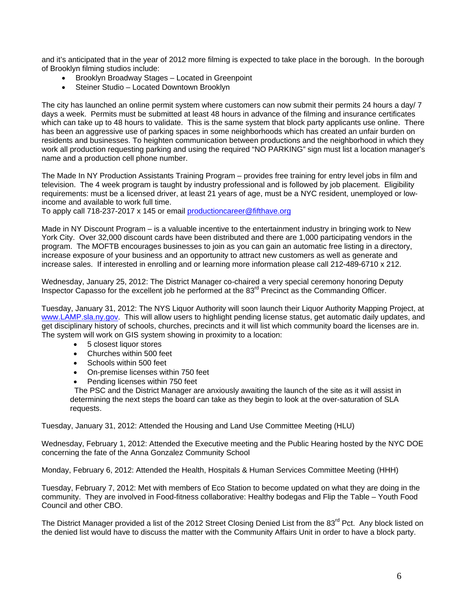and it's anticipated that in the year of 2012 more filming is expected to take place in the borough. In the borough of Brooklyn filming studios include:

- Brooklyn Broadway Stages Located in Greenpoint
- Steiner Studio Located Downtown Brooklyn

The city has launched an online permit system where customers can now submit their permits 24 hours a day/ 7 days a week. Permits must be submitted at least 48 hours in advance of the filming and insurance certificates which can take up to 48 hours to validate. This is the same system that block party applicants use online. There has been an aggressive use of parking spaces in some neighborhoods which has created an unfair burden on residents and businesses. To heighten communication between productions and the neighborhood in which they work all production requesting parking and using the required "NO PARKING" sign must list a location manager's name and a production cell phone number.

The Made In NY Production Assistants Training Program – provides free training for entry level jobs in film and television. The 4 week program is taught by industry professional and is followed by job placement. Eligibility requirements: must be a licensed driver, at least 21 years of age, must be a NYC resident, unemployed or lowincome and available to work full time.

To apply call 718-237-2017 x 145 or email [productioncareer@fifthave.org](mailto:productioncareer@fifthave.org)

Made in NY Discount Program – is a valuable incentive to the entertainment industry in bringing work to New York City. Over 32,000 discount cards have been distributed and there are 1,000 participating vendors in the program. The MOFTB encourages businesses to join as you can gain an automatic free listing in a directory, increase exposure of your business and an opportunity to attract new customers as well as generate and increase sales. If interested in enrolling and or learning more information please call 212-489-6710 x 212.

Wednesday, January 25, 2012: The District Manager co-chaired a very special ceremony honoring Deputy Inspector Capasso for the excellent job he performed at the 83<sup>rd</sup> Precinct as the Commanding Officer.

Tuesday, January 31, 2012: The NYS Liquor Authority will soon launch their Liquor Authority Mapping Project, at [www.LAMP.sla.ny.gov.](http://www.lamp.sla.ny.gov/) This will allow users to highlight pending license status, get automatic daily updates, and get disciplinary history of schools, churches, precincts and it will list which community board the licenses are in. The system will work on GIS system showing in proximity to a location:

- 5 closest liquor stores
- Churches within 500 feet
- Schools within 500 feet
- On-premise licenses within 750 feet
- Pending licenses within 750 feet

 The PSC and the District Manager are anxiously awaiting the launch of the site as it will assist in determining the next steps the board can take as they begin to look at the over-saturation of SLA requests.

Tuesday, January 31, 2012: Attended the Housing and Land Use Committee Meeting (HLU)

Wednesday, February 1, 2012: Attended the Executive meeting and the Public Hearing hosted by the NYC DOE concerning the fate of the Anna Gonzalez Community School

Monday, February 6, 2012: Attended the Health, Hospitals & Human Services Committee Meeting (HHH)

Tuesday, February 7, 2012: Met with members of Eco Station to become updated on what they are doing in the community. They are involved in Food-fitness collaborative: Healthy bodegas and Flip the Table – Youth Food Council and other CBO.

The District Manager provided a list of the 2012 Street Closing Denied List from the 83<sup>rd</sup> Pct. Any block listed on the denied list would have to discuss the matter with the Community Affairs Unit in order to have a block party.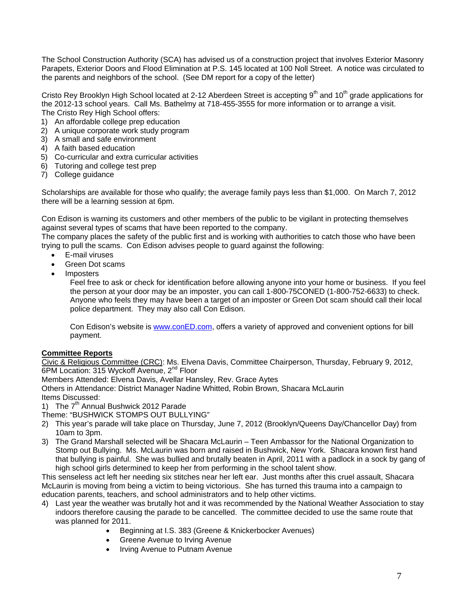The School Construction Authority (SCA) has advised us of a construction project that involves Exterior Masonry Parapets, Exterior Doors and Flood Elimination at P.S. 145 located at 100 Noll Street. A notice was circulated to the parents and neighbors of the school. (See DM report for a copy of the letter)

Cristo Rey Brooklyn High School located at 2-12 Aberdeen Street is accepting 9<sup>th</sup> and 10<sup>th</sup> grade applications for the 2012-13 school years. Call Ms. Bathelmy at 718-455-3555 for more information or to arrange a visit. The Cristo Rey High School offers:

- 1) An affordable college prep education
- 2) A unique corporate work study program
- 3) A small and safe environment
- 4) A faith based education
- 5) Co-curricular and extra curricular activities
- 6) Tutoring and college test prep
- 7) College guidance

Scholarships are available for those who qualify; the average family pays less than \$1,000. On March 7, 2012 there will be a learning session at 6pm.

Con Edison is warning its customers and other members of the public to be vigilant in protecting themselves against several types of scams that have been reported to the company.

The company places the safety of the public first and is working with authorities to catch those who have been trying to pull the scams. Con Edison advises people to guard against the following:

- E-mail viruses
- Green Dot scams
- Imposters

Feel free to ask or check for identification before allowing anyone into your home or business. If you feel the person at your door may be an imposter, you can call 1-800-75CONED (1-800-752-6633) to check. Anyone who feels they may have been a target of an imposter or Green Dot scam should call their local police department. They may also call Con Edison.

Con Edison's website is [www.conED.com,](http://www.coned.com/) offers a variety of approved and convenient options for bill payment.

# **Committee Reports**

Civic & Religious Committee (CRC): Ms. Elvena Davis, Committee Chairperson, Thursday, February 9, 2012, 6PM Location: 315 Wyckoff Avenue, 2<sup>nd</sup> Floor

Members Attended: Elvena Davis, Avellar Hansley, Rev. Grace Aytes

Others in Attendance: District Manager Nadine Whitted, Robin Brown, Shacara McLaurin

Items Discussed:

1) The  $7<sup>th</sup>$  Annual Bushwick 2012 Parade

Theme: "BUSHWICK STOMPS OUT BULLYING"

- 2) This year's parade will take place on Thursday, June 7, 2012 (Brooklyn/Queens Day/Chancellor Day) from 10am to 3pm.
- 3) The Grand Marshall selected will be Shacara McLaurin Teen Ambassor for the National Organization to Stomp out Bullying. Ms. McLaurin was born and raised in Bushwick, New York. Shacara known first hand that bullying is painful. She was bullied and brutally beaten in April, 2011 with a padlock in a sock by gang of high school girls determined to keep her from performing in the school talent show.

This senseless act left her needing six stitches near her left ear. Just months after this cruel assault, Shacara McLaurin is moving from being a victim to being victorious. She has turned this trauma into a campaign to education parents, teachers, and school administrators and to help other victims.

- 4) Last year the weather was brutally hot and it was recommended by the National Weather Association to stay indoors therefore causing the parade to be cancelled. The committee decided to use the same route that was planned for 2011.
	- Beginning at I.S. 383 (Greene & Knickerbocker Avenues)
	- Greene Avenue to Irving Avenue
	- Irving Avenue to Putnam Avenue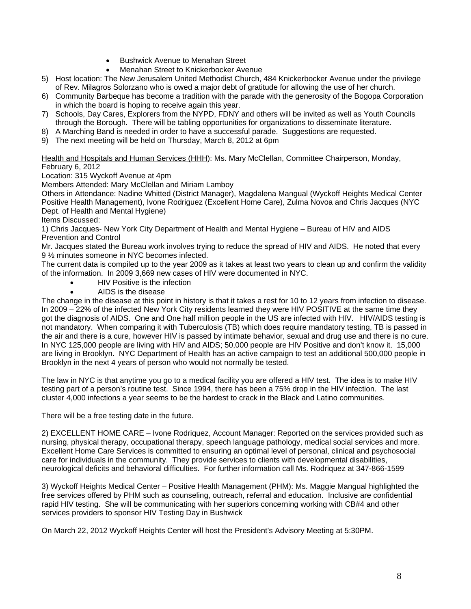- Bushwick Avenue to Menahan Street
- Menahan Street to Knickerbocker Avenue
- 5) Host location: The New Jerusalem United Methodist Church, 484 Knickerbocker Avenue under the privilege of Rev. Milagros Solorzano who is owed a major debt of gratitude for allowing the use of her church.
- 6) Community Barbeque has become a tradition with the parade with the generosity of the Bogopa Corporation in which the board is hoping to receive again this year.
- 7) Schools, Day Cares, Explorers from the NYPD, FDNY and others will be invited as well as Youth Councils through the Borough. There will be tabling opportunities for organizations to disseminate literature.
- 8) A Marching Band is needed in order to have a successful parade. Suggestions are requested.
- 9) The next meeting will be held on Thursday, March 8, 2012 at 6pm

Health and Hospitals and Human Services (HHH): Ms. Mary McClellan, Committee Chairperson, Monday, February 6, 2012

Location: 315 Wyckoff Avenue at 4pm

Members Attended: Mary McClellan and Miriam Lamboy

Others in Attendance: Nadine Whitted (District Manager), Magdalena Mangual (Wyckoff Heights Medical Center Positive Health Management), Ivone Rodriguez (Excellent Home Care), Zulma Novoa and Chris Jacques (NYC Dept. of Health and Mental Hygiene)

Items Discussed:

1) Chris Jacques- New York City Department of Health and Mental Hygiene – Bureau of HIV and AIDS Prevention and Control

Mr. Jacques stated the Bureau work involves trying to reduce the spread of HIV and AIDS. He noted that every 9 ½ minutes someone in NYC becomes infected.

The current data is compiled up to the year 2009 as it takes at least two years to clean up and confirm the validity of the information. In 2009 3,669 new cases of HIV were documented in NYC.

- HIV Positive is the infection
- AIDS is the disease

The change in the disease at this point in history is that it takes a rest for 10 to 12 years from infection to disease. In 2009 – 22% of the infected New York City residents learned they were HIV POSITIVE at the same time they got the diagnosis of AIDS. One and One half million people in the US are infected with HIV. HIV/AIDS testing is not mandatory. When comparing it with Tuberculosis (TB) which does require mandatory testing, TB is passed in the air and there is a cure, however HIV is passed by intimate behavior, sexual and drug use and there is no cure. In NYC 125,000 people are living with HIV and AIDS; 50,000 people are HIV Positive and don't know it. 15,000 are living in Brooklyn. NYC Department of Health has an active campaign to test an additional 500,000 people in Brooklyn in the next 4 years of person who would not normally be tested.

The law in NYC is that anytime you go to a medical facility you are offered a HIV test. The idea is to make HIV testing part of a person's routine test. Since 1994, there has been a 75% drop in the HIV infection. The last cluster 4,000 infections a year seems to be the hardest to crack in the Black and Latino communities.

There will be a free testing date in the future.

2) EXCELLENT HOME CARE – Ivone Rodriquez, Account Manager: Reported on the services provided such as nursing, physical therapy, occupational therapy, speech language pathology, medical social services and more. Excellent Home Care Services is committed to ensuring an optimal level of personal, clinical and psychosocial care for individuals in the community. They provide services to clients with developmental disabilities, neurological deficits and behavioral difficulties. For further information call Ms. Rodriquez at 347-866-1599

3) Wyckoff Heights Medical Center – Positive Health Management (PHM): Ms. Maggie Mangual highlighted the free services offered by PHM such as counseling, outreach, referral and education. Inclusive are confidential rapid HIV testing. She will be communicating with her superiors concerning working with CB#4 and other services providers to sponsor HIV Testing Day in Bushwick

On March 22, 2012 Wyckoff Heights Center will host the President's Advisory Meeting at 5:30PM.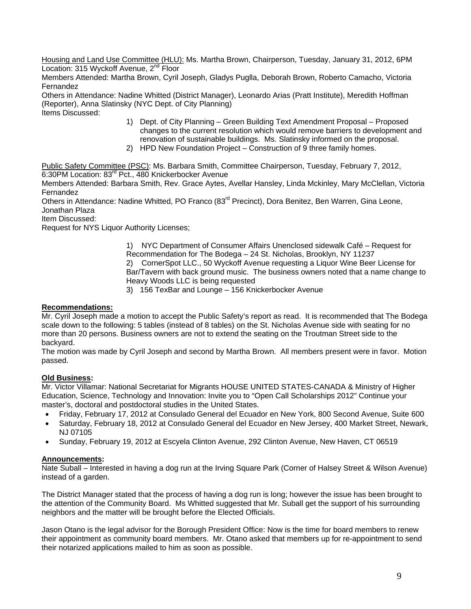Housing and Land Use Committee (HLU): Ms. Martha Brown, Chairperson, Tuesday, January 31, 2012, 6PM Location: 315 Wyckoff Avenue, 2<sup>nd</sup> Floor

Members Attended: Martha Brown, Cyril Joseph, Gladys Puglla, Deborah Brown, Roberto Camacho, Victoria Fernandez

Others in Attendance: Nadine Whitted (District Manager), Leonardo Arias (Pratt Institute), Meredith Hoffman (Reporter), Anna Slatinsky (NYC Dept. of City Planning) Items Discussed:

- 1) Dept. of City Planning Green Building Text Amendment Proposal Proposed changes to the current resolution which would remove barriers to development and renovation of sustainable buildings. Ms. Slatinsky informed on the proposal.
- 2) HPD New Foundation Project Construction of 9 three family homes.

Public Safety Committee (PSC): Ms. Barbara Smith, Committee Chairperson, Tuesday, February 7, 2012, 6:30PM Location: 83rd Pct., 480 Knickerbocker Avenue

Members Attended: Barbara Smith, Rev. Grace Aytes, Avellar Hansley, Linda Mckinley, Mary McClellan, Victoria Fernandez

Others in Attendance: Nadine Whitted, PO Franco (83<sup>rd</sup> Precinct), Dora Benitez, Ben Warren, Gina Leone, Jonathan Plaza

Item Discussed:

Request for NYS Liquor Authority Licenses;

1) NYC Department of Consumer Affairs Unenclosed sidewalk Café – Request for Recommendation for The Bodega – 24 St. Nicholas, Brooklyn, NY 11237 2) CornerSpot LLC., 50 Wyckoff Avenue requesting a Liquor Wine Beer License for Bar/Tavern with back ground music. The business owners noted that a name change to Heavy Woods LLC is being requested

3) 156 TexBar and Lounge – 156 Knickerbocker Avenue

# **Recommendations:**

Mr. Cyril Joseph made a motion to accept the Public Safety's report as read. It is recommended that The Bodega scale down to the following: 5 tables (instead of 8 tables) on the St. Nicholas Avenue side with seating for no more than 20 persons. Business owners are not to extend the seating on the Troutman Street side to the backyard.

The motion was made by Cyril Joseph and second by Martha Brown. All members present were in favor. Motion passed.

# **Old Business:**

Mr. Victor Villamar: National Secretariat for Migrants HOUSE UNITED STATES-CANADA & Ministry of Higher Education, Science, Technology and Innovation: Invite you to "Open Call Scholarships 2012" Continue your master's, doctoral and postdoctoral studies in the United States.

- Friday, February 17, 2012 at Consulado General del Ecuador en New York, 800 Second Avenue, Suite 600
- Saturday, February 18, 2012 at Consulado General del Ecuador en New Jersey, 400 Market Street, Newark, NJ 07105
- Sunday, February 19, 2012 at Escyela Clinton Avenue, 292 Clinton Avenue, New Haven, CT 06519

# **Announcements:**

Nate Suball – Interested in having a dog run at the Irving Square Park (Corner of Halsey Street & Wilson Avenue) instead of a garden.

The District Manager stated that the process of having a dog run is long; however the issue has been brought to the attention of the Community Board. Ms Whitted suggested that Mr. Suball get the support of his surrounding neighbors and the matter will be brought before the Elected Officials.

Jason Otano is the legal advisor for the Borough President Office: Now is the time for board members to renew their appointment as community board members. Mr. Otano asked that members up for re-appointment to send their notarized applications mailed to him as soon as possible.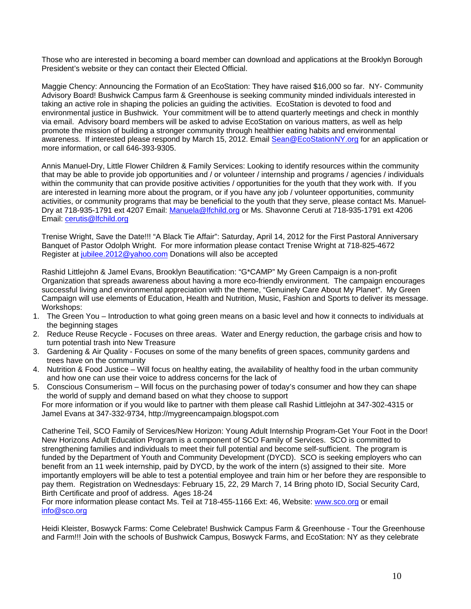Those who are interested in becoming a board member can download and applications at the Brooklyn Borough President's website or they can contact their Elected Official.

Maggie Chency: Announcing the Formation of an EcoStation: They have raised \$16,000 so far. NY- Community Advisory Board! Bushwick Campus farm & Greenhouse is seeking community minded individuals interested in taking an active role in shaping the policies an guiding the activities. EcoStation is devoted to food and environmental justice in Bushwick. Your commitment will be to attend quarterly meetings and check in monthly via email. Advisory board members will be asked to advise EcoStation on various matters, as well as help promote the mission of building a stronger community through healthier eating habits and environmental awareness. If interested please respond by March 15, 2012. Email [Sean@EcoStationNY.org](mailto:Sean@EcoStationNY.org) for an application or more information, or call 646-393-9305.

Annis Manuel-Dry, Little Flower Children & Family Services: Looking to identify resources within the community that may be able to provide job opportunities and / or volunteer / internship and programs / agencies / individuals within the community that can provide positive activities / opportunities for the youth that they work with. If you are interested in learning more about the program, or if you have any job / volunteer opportunities, community activities, or community programs that may be beneficial to the youth that they serve, please contact Ms. Manuel-Dry at 718-935-1791 ext 4207 Email: [Manuela@lfchild.org](mailto:Manuela@lfchild.org) or Ms. Shavonne Ceruti at 718-935-1791 ext 4206 Email: [cerutis@lfchild.org](mailto:cerutis@lfchild.org)

Trenise Wright, Save the Date!!! "A Black Tie Affair": Saturday, April 14, 2012 for the First Pastoral Anniversary Banquet of Pastor Odolph Wright. For more information please contact Trenise Wright at 718-825-4672 Register at [jubilee.2012@yahoo.com](mailto:jubilee.2012@yahoo.com) Donations will also be accepted

Rashid Littlejohn & Jamel Evans, Brooklyn Beautification: "G\*CAMP" My Green Campaign is a non-profit Organization that spreads awareness about having a more eco-friendly environment. The campaign encourages successful living and environmental appreciation with the theme, "Genuinely Care About My Planet". My Green Campaign will use elements of Education, Health and Nutrition, Music, Fashion and Sports to deliver its message. Workshops:

- 1. The Green You Introduction to what going green means on a basic level and how it connects to individuals at the beginning stages
- 2. Reduce Reuse Recycle Focuses on three areas. Water and Energy reduction, the garbage crisis and how to turn potential trash into New Treasure
- 3. Gardening & Air Quality Focuses on some of the many benefits of green spaces, community gardens and trees have on the community
- 4. Nutrition & Food Justice Will focus on healthy eating, the availability of healthy food in the urban community and how one can use their voice to address concerns for the lack of
- 5. Conscious Consumerism Will focus on the purchasing power of today's consumer and how they can shape the world of supply and demand based on what they choose to support

For more information or if you would like to partner with them please call Rashid Littlejohn at 347-302-4315 or Jamel Evans at 347-332-9734, http://mygreencampaign.blogspot.com

Catherine Teil, SCO Family of Services/New Horizon: Young Adult Internship Program-Get Your Foot in the Door! New Horizons Adult Education Program is a component of SCO Family of Services. SCO is committed to strengthening families and individuals to meet their full potential and become self-sufficient. The program is funded by the Department of Youth and Community Development (DYCD). SCO is seeking employers who can benefit from an 11 week internship, paid by DYCD, by the work of the intern (s) assigned to their site. More importantly employers will be able to test a potential employee and train him or her before they are responsible to pay them. Registration on Wednesdays: February 15, 22, 29 March 7, 14 Bring photo ID, Social Security Card, Birth Certificate and proof of address. Ages 18-24

For more information please contact Ms. Teil at 718-455-1166 Ext: 46, Website: [www.sco.org](http://www.sco.org/) or email [info@sco.org](mailto:info@sco.org)

Heidi Kleister, Boswyck Farms: Come Celebrate! Bushwick Campus Farm & Greenhouse - Tour the Greenhouse and Farm!!! Join with the schools of Bushwick Campus, Boswyck Farms, and EcoStation: NY as they celebrate